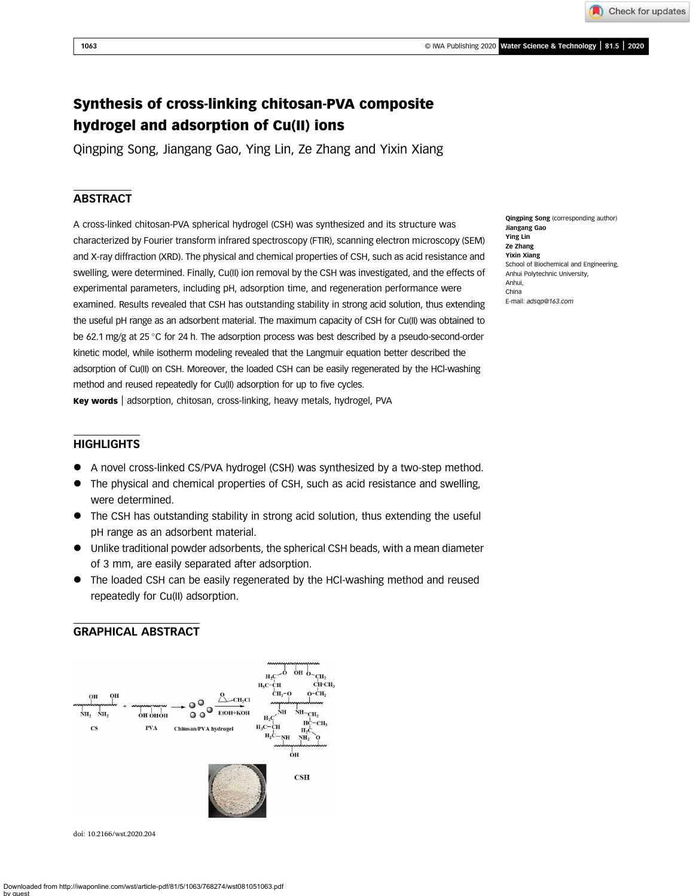Check for updates

# Synthesis of cross-linking chitosan-PVA composite hydrogel and adsorption of Cu(II) ions

Qingping Song, Jiangang Gao, Ying Lin, Ze Zhang and Yixin Xiang

## **ABSTRACT**

A cross-linked chitosan-PVA spherical hydrogel (CSH) was synthesized and its structure was characterized by Fourier transform infrared spectroscopy (FTIR), scanning electron microscopy (SEM) and X-ray diffraction (XRD). The physical and chemical properties of CSH, such as acid resistance and swelling, were determined. Finally, Cu(II) ion removal by the CSH was investigated, and the effects of experimental parameters, including pH, adsorption time, and regeneration performance were examined. Results revealed that CSH has outstanding stability in strong acid solution, thus extending the useful pH range as an adsorbent material. The maximum capacity of CSH for Cu(II) was obtained to be 62.1 mg/g at 25 °C for 24 h. The adsorption process was best described by a pseudo-second-order kinetic model, while isotherm modeling revealed that the Langmuir equation better described the adsorption of Cu(II) on CSH. Moreover, the loaded CSH can be easily regenerated by the HCl-washing method and reused repeatedly for Cu(II) adsorption for up to five cycles.

Key words | adsorption, chitosan, cross-linking, heavy metals, hydrogel, PVA

## **HIGHLIGHTS**

- A novel cross-linked CS/PVA hydrogel (CSH) was synthesized by a two-step method.
- The physical and chemical properties of CSH, such as acid resistance and swelling, were determined.
- The CSH has outstanding stability in strong acid solution, thus extending the useful pH range as an adsorbent material.
- Unlike traditional powder adsorbents, the spherical CSH beads, with a mean diameter of 3 mm, are easily separated after adsorption.
- The loaded CSH can be easily regenerated by the HCl-washing method and reused repeatedly for Cu(II) adsorption.

## GRAPHICAL ABSTRACT



doi: 10.2166/wst.2020.204

Qingping Song (corresponding author) Jiangang Gao Ying Lin Ze Zhang Yixin Xiang School of Biochemical and Engineering, Anhui Polytechnic University, Anhui, China E-mail: [adsqp@163.com](mailto:adsqp@163.com)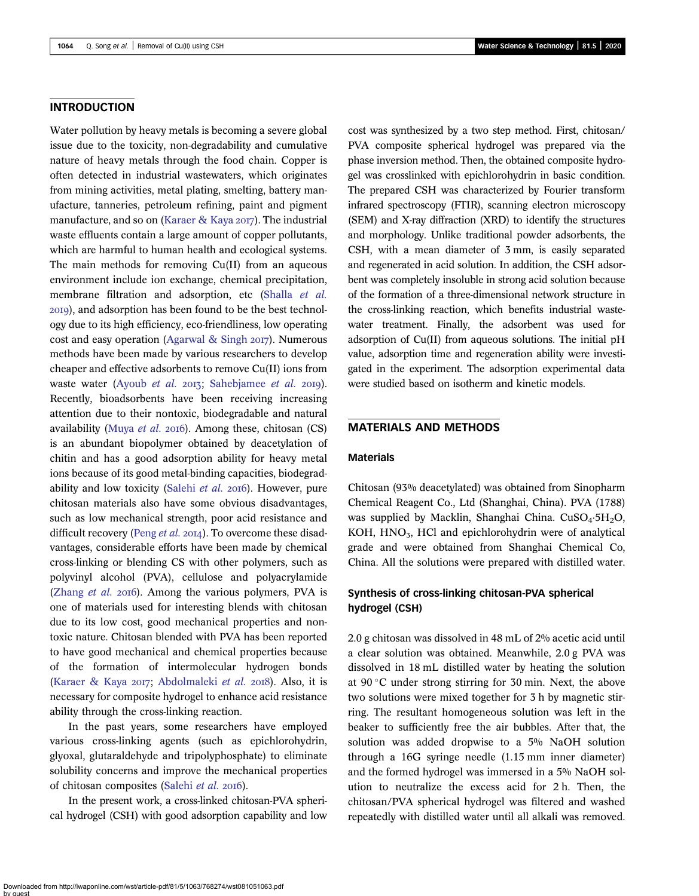## INTRODUCTION

Water pollution by heavy metals is becoming a severe global issue due to the toxicity, non-degradability and cumulative nature of heavy metals through the food chain. Copper is often detected in industrial wastewaters, which originates from mining activities, metal plating, smelting, battery manufacture, tanneries, petroleum refining, paint and pigment manufacture, and so on [\(Karaer & Kaya](#page-7-0)  $20I7$ ). The industrial waste effluents contain a large amount of copper pollutants, which are harmful to human health and ecological systems. The main methods for removing Cu(II) from an aqueous environment include ion exchange, chemical precipitation, membrane filtration and adsorption, etc ([Shalla](#page-7-0) et al. ), and adsorption has been found to be the best technology due to its high efficiency, eco-friendliness, low operating cost and easy operation [\(Agarwal & Singh](#page-7-0)  $2017$ ). Numerous methods have been made by various researchers to develop cheaper and effective adsorbents to remove Cu(II) ions from waste water [\(Ayoub](#page-7-0) et al.  $2013$ ; [Sahebjamee](#page-7-0) et al.  $2019$ ). Recently, bioadsorbents have been receiving increasing attention due to their nontoxic, biodegradable and natural availability [\(Muya](#page-7-0) *et al.* 2016). Among these, chitosan  $(CS)$ is an abundant biopolymer obtained by deacetylation of chitin and has a good adsorption ability for heavy metal ions because of its good metal-binding capacities, biodegrad-ability and low toxicity ([Salehi](#page-7-0) et al. 2016). However, pure chitosan materials also have some obvious disadvantages, such as low mechanical strength, poor acid resistance and difficult recovery (Peng [et al.](#page-7-0) 2014). To overcome these disadvantages, considerable efforts have been made by chemical cross-linking or blending CS with other polymers, such as polyvinyl alcohol (PVA), cellulose and polyacrylamide ([Zhang](#page-7-0)  $et$   $al.$   $2016$ ). Among the various polymers, PVA is one of materials used for interesting blends with chitosan due to its low cost, good mechanical properties and nontoxic nature. Chitosan blended with PVA has been reported to have good mechanical and chemical properties because of the formation of intermolecular hydrogen bonds ([Karaer & Kaya](#page-7-0) 2017; [Abdolmaleki](#page-7-0) et al. 2018). Also, it is necessary for composite hydrogel to enhance acid resistance ability through the cross-linking reaction.

In the past years, some researchers have employed various cross-linking agents (such as epichlorohydrin, glyoxal, glutaraldehyde and tripolyphosphate) to eliminate solubility concerns and improve the mechanical properties of chitosan composites [\(Salehi](#page-7-0) et al. 2016).

In the present work, a cross-linked chitosan-PVA spherical hydrogel (CSH) with good adsorption capability and low

cost was synthesized by a two step method. First, chitosan/ PVA composite spherical hydrogel was prepared via the phase inversion method. Then, the obtained composite hydrogel was crosslinked with epichlorohydrin in basic condition. The prepared CSH was characterized by Fourier transform infrared spectroscopy (FTIR), scanning electron microscopy (SEM) and X-ray diffraction (XRD) to identify the structures and morphology. Unlike traditional powder adsorbents, the CSH, with a mean diameter of 3 mm, is easily separated and regenerated in acid solution. In addition, the CSH adsorbent was completely insoluble in strong acid solution because of the formation of a three-dimensional network structure in the cross-linking reaction, which benefits industrial wastewater treatment. Finally, the adsorbent was used for adsorption of Cu(II) from aqueous solutions. The initial pH value, adsorption time and regeneration ability were investigated in the experiment. The adsorption experimental data were studied based on isotherm and kinetic models.

## MATERIALS AND METHODS

## Materials

Chitosan (93% deacetylated) was obtained from Sinopharm Chemical Reagent Co., Ltd (Shanghai, China). PVA (1788) was supplied by Macklin, Shanghai China. CuSO<sub>4</sub>·5H<sub>2</sub>O, KOH, HNO<sub>3</sub>, HCl and epichlorohydrin were of analytical grade and were obtained from Shanghai Chemical Co, China. All the solutions were prepared with distilled water.

## Synthesis of cross-linking chitosan-PVA spherical hydrogel (CSH)

2.0 g chitosan was dissolved in 48 mL of 2% acetic acid until a clear solution was obtained. Meanwhile, 2.0 g PVA was dissolved in 18 mL distilled water by heating the solution at  $90^{\circ}$ C under strong stirring for 30 min. Next, the above two solutions were mixed together for 3 h by magnetic stirring. The resultant homogeneous solution was left in the beaker to sufficiently free the air bubbles. After that, the solution was added dropwise to a 5% NaOH solution through a 16G syringe needle (1.15 mm inner diameter) and the formed hydrogel was immersed in a 5% NaOH solution to neutralize the excess acid for 2 h. Then, the chitosan/PVA spherical hydrogel was filtered and washed repeatedly with distilled water until all alkali was removed.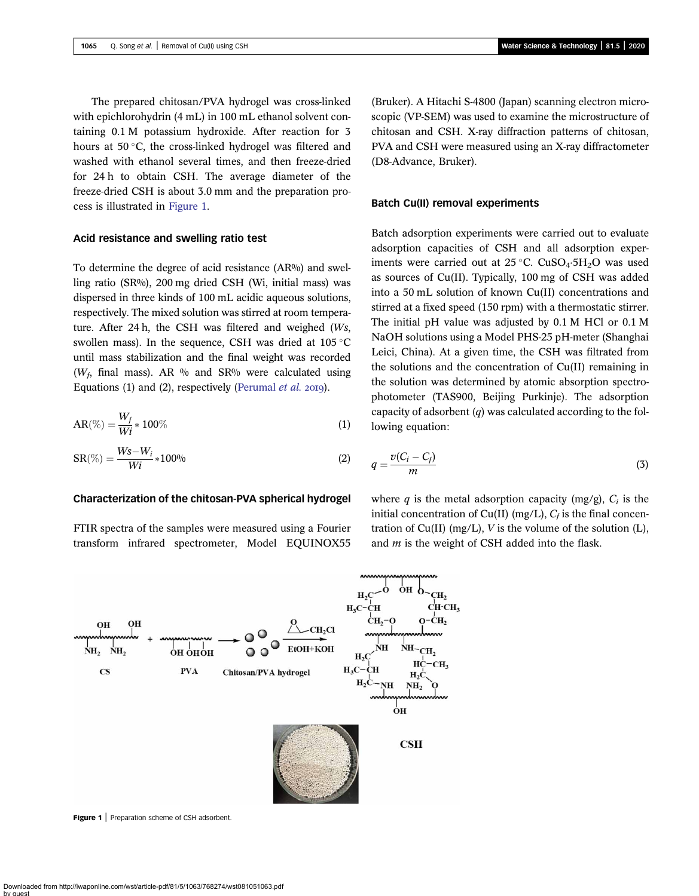The prepared chitosan/PVA hydrogel was cross-linked with epichlorohydrin (4 mL) in 100 mL ethanol solvent containing 0.1 M potassium hydroxide. After reaction for 3 hours at  $50^{\circ}$ C, the cross-linked hydrogel was filtered and washed with ethanol several times, and then freeze-dried for 24 h to obtain CSH. The average diameter of the freeze-dried CSH is about 3.0 mm and the preparation process is illustrated in Figure 1.

#### Acid resistance and swelling ratio test

To determine the degree of acid resistance (AR%) and swelling ratio (SR%), 200 mg dried CSH (Wi, initial mass) was dispersed in three kinds of 100 mL acidic aqueous solutions, respectively. The mixed solution was stirred at room temperature. After 24 h, the CSH was filtered and weighed (Ws, swollen mass). In the sequence, CSH was dried at  $105^{\circ}$ C until mass stabilization and the final weight was recorded ( $W_f$ , final mass). AR % and SR% were calculated using Equations (1) and (2), respectively [\(Perumal](#page-7-0)  $et$   $al.$  2019).

$$
AR(\%) = \frac{W_f}{Wi} * 100\% \tag{1}
$$

$$
SR(\%) = \frac{Ws - W_i}{Wi} * 100\% \tag{2}
$$

### Characterization of the chitosan-PVA spherical hydrogel

FTIR spectra of the samples were measured using a Fourier transform infrared spectrometer, Model EQUINOX55 (Bruker). A Hitachi S-4800 (Japan) scanning electron microscopic (VP-SEM) was used to examine the microstructure of chitosan and CSH. X-ray diffraction patterns of chitosan, PVA and CSH were measured using an X-ray diffractometer (D8-Advance, Bruker).

#### Batch Cu(II) removal experiments

Batch adsorption experiments were carried out to evaluate adsorption capacities of CSH and all adsorption experiments were carried out at  $25^{\circ}$ C. CuSO<sub>4</sub>.5H<sub>2</sub>O was used as sources of Cu(II). Typically, 100 mg of CSH was added into a 50 mL solution of known Cu(II) concentrations and stirred at a fixed speed (150 rpm) with a thermostatic stirrer. The initial pH value was adjusted by 0.1 M HCl or 0.1 M NaOH solutions using a Model PHS-25 pH-meter (Shanghai Leici, China). At a given time, the CSH was filtrated from the solutions and the concentration of Cu(II) remaining in the solution was determined by atomic absorption spectrophotometer (TAS900, Beijing Purkinje). The adsorption capacity of adsorbent (q) was calculated according to the following equation:

$$
q = \frac{v(C_i - C_f)}{m} \tag{3}
$$

where q is the metal adsorption capacity (mg/g),  $C_i$  is the initial concentration of Cu(II) (mg/L),  $C_f$  is the final concentration of  $Cu(II)$  (mg/L), V is the volume of the solution (L), and  $m$  is the weight of CSH added into the flask.



Figure 1 | Preparation scheme of CSH adsorbent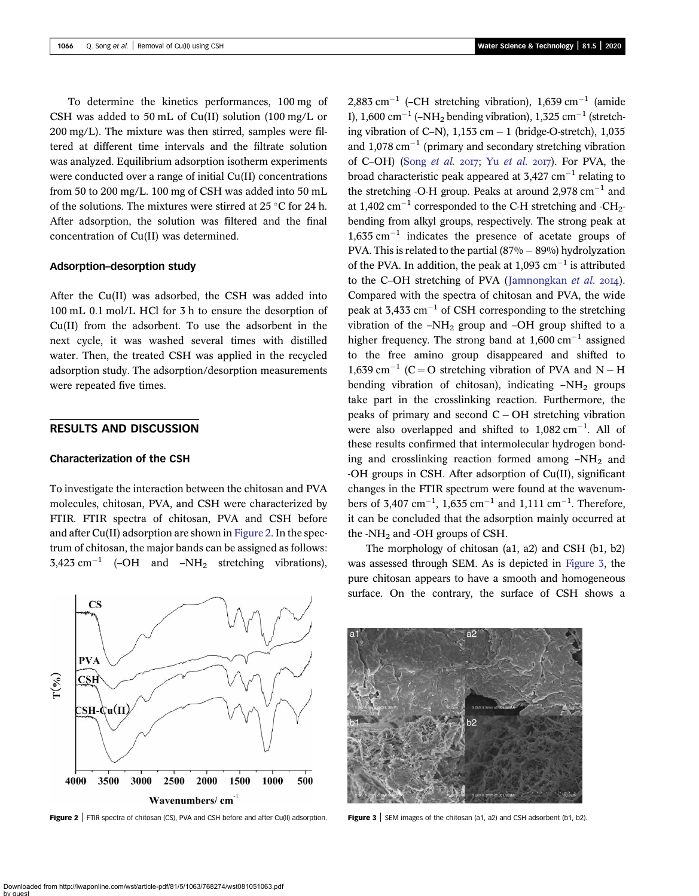To determine the kinetics performances, 100 mg of CSH was added to 50 mL of Cu(II) solution (100 mg/L or 200 mg/L). The mixture was then stirred, samples were filtered at different time intervals and the filtrate solution was analyzed. Equilibrium adsorption isotherm experiments were conducted over a range of initial Cu(II) concentrations from 50 to 200 mg/L. 100 mg of CSH was added into 50 mL of the solutions. The mixtures were stirred at 25 °C for 24 h. After adsorption, the solution was filtered and the final concentration of Cu(II) was determined.

## Adsorption–desorption study

After the Cu(II) was adsorbed, the CSH was added into 100 mL 0.1 mol/L HCl for 3 h to ensure the desorption of Cu(II) from the adsorbent. To use the adsorbent in the next cycle, it was washed several times with distilled water. Then, the treated CSH was applied in the recycled adsorption study. The adsorption/desorption measurements were repeated five times.

## RESULTS AND DISCUSSION

## Characterization of the CSH

To investigate the interaction between the chitosan and PVA molecules, chitosan, PVA, and CSH were characterized by FTIR. FTIR spectra of chitosan, PVA and CSH before and after Cu(II) adsorption are shown in Figure 2. In the spectrum of chitosan, the major bands can be assigned as follows:  $3,423$  cm<sup>-1</sup> (-OH and -NH<sub>2</sub> stretching vibrations),

 $\overline{\text{CS}}$ **PVA**  $\Gamma(\frac{9}{6})$ **CSH** CSH-¢u(∏ 4000 3500 3000 2500 2000 1500 1000 500 Wavenumbers/cm



2,883 cm<sup>-1</sup> (-CH stretching vibration), 1,639 cm<sup>-1</sup> (amide I),  $1.600 \text{ cm}^{-1}$  (–NH<sub>2</sub> bending vibration),  $1.325 \text{ cm}^{-1}$  (stretching vibration of C–N),  $1,153$  cm  $-1$  (bridge-O-stretch),  $1,035$ and  $1.078 \text{ cm}^{-1}$  (primary and secondary stretching vibration of C–OH) (Song [et al.](#page-7-0)  $20I7$ ; Yu et al.  $20I7$ ). For PVA, the broad characteristic peak appeared at  $3,427$  cm<sup>-1</sup> relating to the stretching -O-H group. Peaks at around  $2.978 \text{ cm}^{-1}$  and at 1,402  $\text{cm}^{-1}$  corresponded to the C-H stretching and -CH<sub>2</sub>bending from alkyl groups, respectively. The strong peak at  $1,635$  cm<sup>-1</sup> indicates the presence of acetate groups of PVA. This is related to the partial  $(87% - 89%)$  hydrolyzation of the PVA. In addition, the peak at  $1.093$  cm<sup>-1</sup> is attributed to the C–OH stretching of PVA ([Jamnongkan](#page-7-0) et al. 2014). Compared with the spectra of chitosan and PVA, the wide peak at 3,433 cm<sup>-1</sup> of CSH corresponding to the stretching vibration of the  $-NH_2$  group and  $-OH$  group shifted to a higher frequency. The strong band at  $1.600 \text{ cm}^{-1}$  assigned to the free amino group disappeared and shifted to 1,639 cm<sup>-1</sup> (C = O stretching vibration of PVA and N – H bending vibration of chitosan), indicating  $-NH<sub>2</sub>$  groups take part in the crosslinking reaction. Furthermore, the peaks of primary and second  $C - OH$  stretching vibration were also overlapped and shifted to  $1,082 \text{ cm}^{-1}$ . All of these results confirmed that intermolecular hydrogen bonding and crosslinking reaction formed among  $-NH<sub>2</sub>$  and -OH groups in CSH. After adsorption of Cu(II), significant changes in the FTIR spectrum were found at the wavenumbers of 3,407 cm<sup>-1</sup>, 1,635 cm<sup>-1</sup> and 1,111 cm<sup>-1</sup>. Therefore, it can be concluded that the adsorption mainly occurred at the -NH<sub>2</sub> and -OH groups of CSH.

The morphology of chitosan (a1, a2) and CSH (b1, b2) was assessed through SEM. As is depicted in Figure 3, the pure chitosan appears to have a smooth and homogeneous surface. On the contrary, the surface of CSH shows a

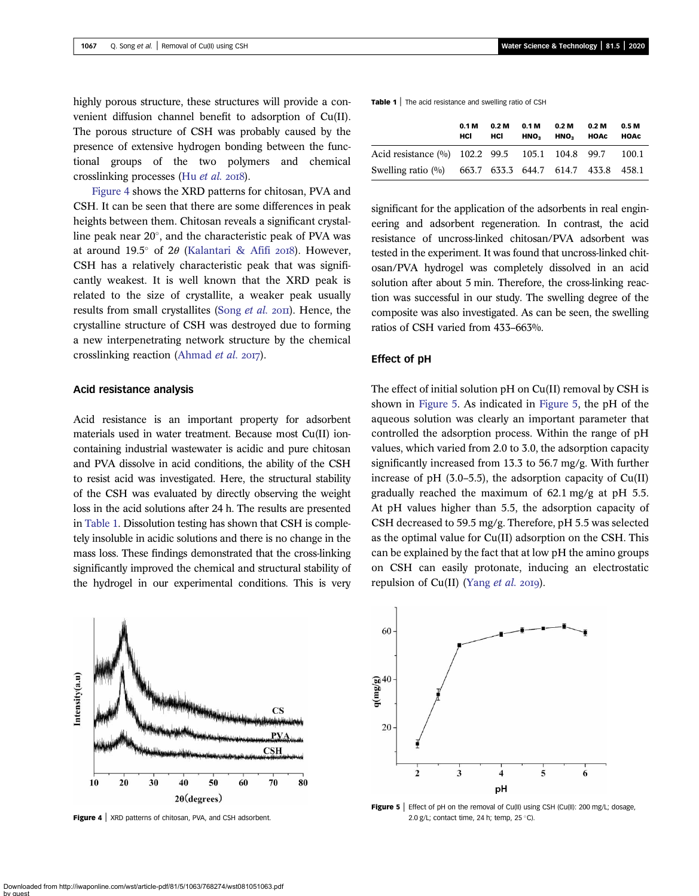highly porous structure, these structures will provide a convenient diffusion channel benefit to adsorption of Cu(II). The porous structure of CSH was probably caused by the presence of extensive hydrogen bonding between the functional groups of the two polymers and chemical crosslinking processes (Hu [et al.](#page-7-0) 2018).

Figure 4 shows the XRD patterns for chitosan, PVA and CSH. It can be seen that there are some differences in peak heights between them. Chitosan reveals a significant crystalline peak near  $20^{\circ}$ , and the characteristic peak of PVA was at around 19.5 $^{\circ}$  of 2 $\theta$  ([Kalantari & Afifi](#page-7-0) 2018). However, CSH has a relatively characteristic peak that was significantly weakest. It is well known that the XRD peak is related to the size of crystallite, a weaker peak usually results from small crystallites [\(Song](#page-7-0)  $et$   $al.$   $2$ OII). Hence, the crystalline structure of CSH was destroyed due to forming a new interpenetrating network structure by the chemical crosslinking reaction ([Ahmad](#page-7-0) et al. 2017).

### Acid resistance analysis

Acid resistance is an important property for adsorbent materials used in water treatment. Because most Cu(II) ioncontaining industrial wastewater is acidic and pure chitosan and PVA dissolve in acid conditions, the ability of the CSH to resist acid was investigated. Here, the structural stability of the CSH was evaluated by directly observing the weight loss in the acid solutions after 24 h. The results are presented in Table 1. Dissolution testing has shown that CSH is completely insoluble in acidic solutions and there is no change in the mass loss. These findings demonstrated that the cross-linking significantly improved the chemical and structural stability of the hydrogel in our experimental conditions. This is very



Figure 4 | XRD patterns of chitosan, PVA, and CSH adsorbent.

Table 1 | The acid resistance and swelling ratio of CSH

|                                                                   | 0.1 <sub>M</sub><br>HCI | 0.2 <sub>M</sub><br>HCI | 0.1 <sub>M</sub><br>HNO <sub>2</sub> | 0.2 <sub>M</sub><br>HNO <sub>2</sub> | 0.2 <sub>M</sub><br>HOAC | 0.5 M<br><b>HOAC</b> |
|-------------------------------------------------------------------|-------------------------|-------------------------|--------------------------------------|--------------------------------------|--------------------------|----------------------|
| Acid resistance (%) 102.2 99.5 105.1 104.8 99.7                   |                         |                         |                                      |                                      |                          | 100.1                |
| Swelling ratio $\frac{60}{0}$ 663.7 633.3 644.7 614.7 433.8 458.1 |                         |                         |                                      |                                      |                          |                      |

significant for the application of the adsorbents in real engineering and adsorbent regeneration. In contrast, the acid resistance of uncross-linked chitosan/PVA adsorbent was tested in the experiment. It was found that uncross-linked chitosan/PVA hydrogel was completely dissolved in an acid solution after about 5 min. Therefore, the cross-linking reaction was successful in our study. The swelling degree of the composite was also investigated. As can be seen, the swelling ratios of CSH varied from 433–663%.

## Effect of pH

The effect of initial solution  $pH$  on  $Cu(II)$  removal by CSH is shown in Figure 5. As indicated in Figure 5, the pH of the aqueous solution was clearly an important parameter that controlled the adsorption process. Within the range of pH values, which varied from 2.0 to 3.0, the adsorption capacity significantly increased from 13.3 to 56.7 mg/g. With further increase of pH  $(3.0-5.5)$ , the adsorption capacity of Cu(II) gradually reached the maximum of 62.1 mg/g at pH 5.5. At pH values higher than 5.5, the adsorption capacity of CSH decreased to 59.5 mg/g. Therefore, pH 5.5 was selected as the optimal value for Cu(II) adsorption on the CSH. This can be explained by the fact that at low pH the amino groups on CSH can easily protonate, inducing an electrostatic repulsion of  $Cu(II)$  ([Yang](#page-7-0) *et al.* 2019).



Figure 5 | Effect of pH on the removal of Cu(II) using CSH (Cu(II): 200 mg/L; dosage, 2.0 g/L; contact time, 24 h; temp,  $25^{\circ}$ C).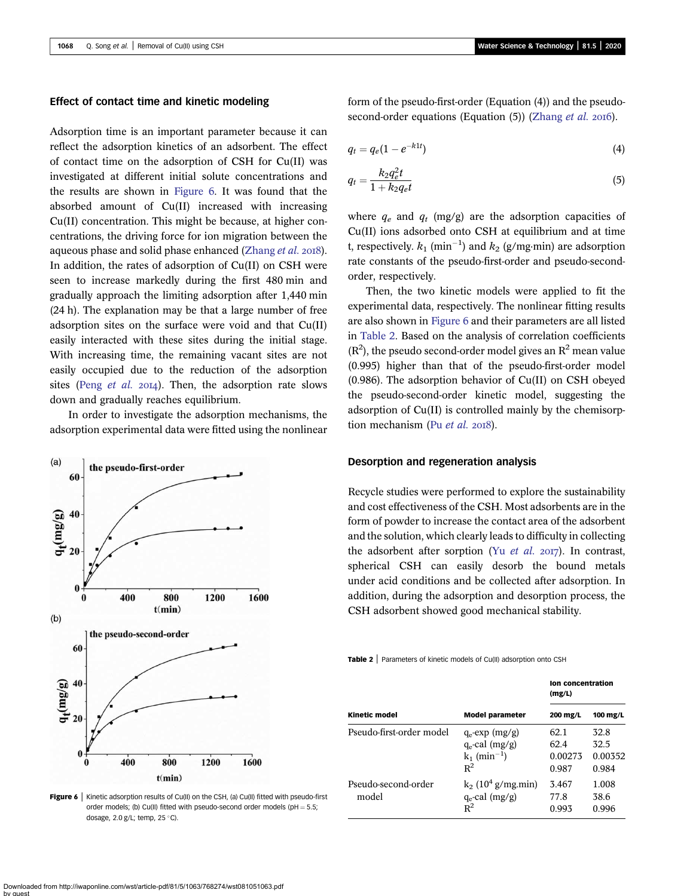### Effect of contact time and kinetic modeling

Adsorption time is an important parameter because it can reflect the adsorption kinetics of an adsorbent. The effect of contact time on the adsorption of CSH for Cu(II) was investigated at different initial solute concentrations and the results are shown in Figure 6. It was found that the absorbed amount of Cu(II) increased with increasing Cu(II) concentration. This might be because, at higher concentrations, the driving force for ion migration between the aqueous phase and solid phase enhanced ([Zhang](#page-7-0) et al. 2018). In addition, the rates of adsorption of Cu(II) on CSH were seen to increase markedly during the first 480 min and gradually approach the limiting adsorption after 1,440 min (24 h). The explanation may be that a large number of free adsorption sites on the surface were void and that Cu(II) easily interacted with these sites during the initial stage. With increasing time, the remaining vacant sites are not easily occupied due to the reduction of the adsorption sites (Peng *[et al.](#page-7-0)* 2014). Then, the adsorption rate slows down and gradually reaches equilibrium.

In order to investigate the adsorption mechanisms, the adsorption experimental data were fitted using the nonlinear



Figure 6 | Kinetic adsorption results of Cu(II) on the CSH, (a) Cu(II) fitted with pseudo-first order models; (b) Cu(II) fitted with pseudo-second order models (pH  $= 5.5$ ; dosage, 2.0 g/L; temp, 25 $^{\circ}$ C).

form of the pseudo-first-order (Equation (4)) and the pseudosecond-order equations (Equation  $(5)$ ) [\(Zhang](#page-7-0) *et al.* 2016).

$$
q_t = q_e (1 - e^{-k_1 t}) \tag{4}
$$

$$
q_t = \frac{k_2 q_e^2 t}{1 + k_2 q_e t} \tag{5}
$$

where  $q_e$  and  $q_t$  (mg/g) are the adsorption capacities of Cu(II) ions adsorbed onto CSH at equilibrium and at time t, respectively.  $k_1$  (min<sup>-1</sup>) and  $k_2$  (g/mg·min) are adsorption rate constants of the pseudo-first-order and pseudo-secondorder, respectively.

Then, the two kinetic models were applied to fit the experimental data, respectively. The nonlinear fitting results are also shown in Figure 6 and their parameters are all listed in Table 2. Based on the analysis of correlation coefficients  $(R<sup>2</sup>)$ , the pseudo second-order model gives an  $R<sup>2</sup>$  mean value (0.995) higher than that of the pseudo-first-order model (0.986). The adsorption behavior of Cu(II) on CSH obeyed the pseudo-second-order kinetic model, suggesting the adsorption of Cu(II) is controlled mainly by the chemisorption mechanism (Pu [et al.](#page-7-0)  $2018$ ).

### Desorption and regeneration analysis

Recycle studies were performed to explore the sustainability and cost effectiveness of the CSH. Most adsorbents are in the form of powder to increase the contact area of the adsorbent and the solution, which clearly leads to difficulty in collecting the adsorbent after sorption (Yu [et al.](#page-7-0)  $2017$ ). In contrast, spherical CSH can easily desorb the bound metals under acid conditions and be collected after adsorption. In addition, during the adsorption and desorption process, the CSH adsorbent showed good mechanical stability.

Table 2 | Parameters of kinetic models of Cu(II) adsorption onto CSH

|                              |                                                                               | <b>Ion concentration</b><br>(mg/L) |                                  |  |
|------------------------------|-------------------------------------------------------------------------------|------------------------------------|----------------------------------|--|
| <b>Kinetic model</b>         | <b>Model parameter</b>                                                        | 200 mg/L                           | 100 mg/L                         |  |
| Pseudo-first-order model     | $q_e$ -exp (mg/g)<br>$q_e$ -cal (mg/g)<br>$k_1$ (min <sup>-1</sup> )<br>$R^2$ | 62.1<br>62.4<br>0.00273<br>0.987   | 32.8<br>32.5<br>0.00352<br>0.984 |  |
| Pseudo-second-order<br>model | $k_2$ (10 <sup>4</sup> g/mg.min)<br>$q_e$ -cal (mg/g)<br>$R^2$                | 3.467<br>77.8<br>0.993             | 1.008<br>38.6<br>0.996           |  |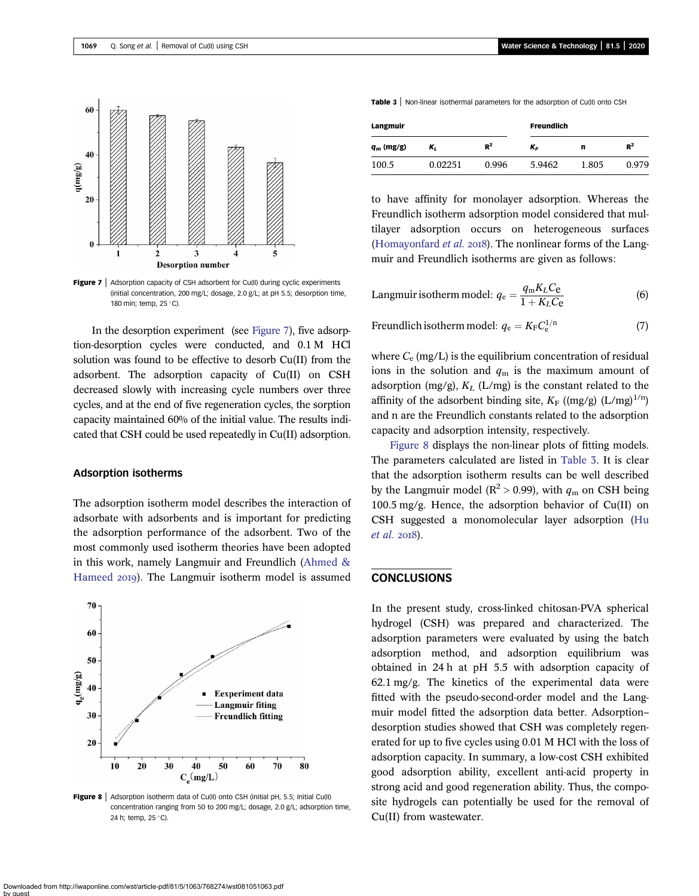



|            | $60 -$ |  |                          |   |
|------------|--------|--|--------------------------|---|
|            | $40 -$ |  |                          |   |
| $q$ (mg/g) | $20 -$ |  |                          |   |
|            | 0      |  |                          | י |
|            |        |  | <b>Desorption number</b> |   |

**Figure 7** Adsorption capacity of CSH adsorbent for Cu(II) during cyclic experiments (initial concentration, 200 mg/L; dosage, 2.0 g/L; at pH 5.5; desorption time, 180 min; temp, 25 °C).

In the desorption experiment (see Figure 7), five adsorption-desorption cycles were conducted, and 0.1 M HCl solution was found to be effective to desorb Cu(II) from the adsorbent. The adsorption capacity of Cu(II) on CSH decreased slowly with increasing cycle numbers over three cycles, and at the end of five regeneration cycles, the sorption capacity maintained 60% of the initial value. The results indicated that CSH could be used repeatedly in Cu(II) adsorption.

#### Adsorption isotherms

The adsorption isotherm model describes the interaction of adsorbate with adsorbents and is important for predicting the adsorption performance of the adsorbent. Two of the most commonly used isotherm theories have been adopted in this work, namely Langmuir and Freundlich ([Ahmed &](#page-7-0) [Hameed](#page-7-0) 2019). The Langmuir isotherm model is assumed



Figure 8 | Adsorption isotherm data of Cu(II) onto CSH (initial pH, 5.5; Initial Cu(II) concentration ranging from 50 to 200 mg/L; dosage, 2.0 g/L; adsorption time, 24 h; temp, 25 °C).

| Langmuir     |         |       | <b>Freundlich</b> |       |       |  |
|--------------|---------|-------|-------------------|-------|-------|--|
| $q_m$ (mg/g) | κ,      | $R^2$ | K <sub>F</sub>    | n     | $R^2$ |  |
| 100.5        | 0.02251 | 0.996 | 5.9462            | 1.805 | 0.979 |  |

to have affinity for monolayer adsorption. Whereas the Freundlich isotherm adsorption model considered that multilayer adsorption occurs on heterogeneous surfaces [\(Homayonfard](#page-7-0) *et al.* 2018). The nonlinear forms of the Langmuir and Freundlich isotherms are given as follows:

Langmuir isotherm model: 
$$
q_e = \frac{q_m K_L C_e}{1 + K_L C_e}
$$
 (6)

Freundlich isotherm model: 
$$
q_e = K_F C_e^{1/n}
$$
 (7)

where  $C_e$  (mg/L) is the equilibrium concentration of residual ions in the solution and  $q<sub>m</sub>$  is the maximum amount of adsorption (mg/g),  $K_L$  (L/mg) is the constant related to the affinity of the adsorbent binding site,  $K_F$  ((mg/g) (L/mg)<sup>1/n</sup>) and n are the Freundlich constants related to the adsorption capacity and adsorption intensity, respectively.

Figure 8 displays the non-linear plots of fitting models. The parameters calculated are listed in Table 3. It is clear that the adsorption isotherm results can be well described by the Langmuir model ( $\mathbb{R}^2 > 0.99$ ), with  $q_m$  on CSH being 100.5 mg/g. Hence, the adsorption behavior of Cu(II) on CSH suggested a monomolecular layer adsorption ([Hu](#page-7-0) [et al.](#page-7-0) 2018).

## **CONCLUSIONS**

In the present study, cross-linked chitosan-PVA spherical hydrogel (CSH) was prepared and characterized. The adsorption parameters were evaluated by using the batch adsorption method, and adsorption equilibrium was obtained in 24 h at pH 5.5 with adsorption capacity of 62.1 mg/g. The kinetics of the experimental data were fitted with the pseudo-second-order model and the Langmuir model fitted the adsorption data better. Adsorption– desorption studies showed that CSH was completely regenerated for up to five cycles using 0.01 M HCl with the loss of adsorption capacity. In summary, a low-cost CSH exhibited good adsorption ability, excellent anti-acid property in strong acid and good regeneration ability. Thus, the composite hydrogels can potentially be used for the removal of Cu(II) from wastewater.